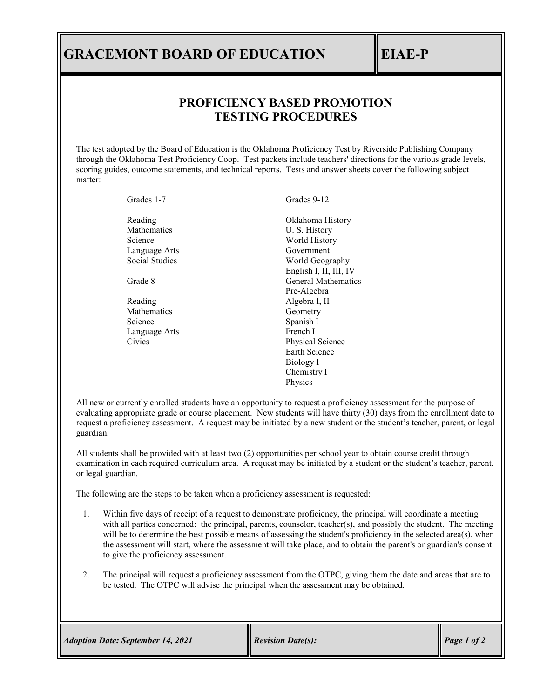## **GRACEMONT BOARD OF EDUCATION EIAE-P**

## **PROFICIENCY BASED PROMOTION TESTING PROCEDURES**

The test adopted by the Board of Education is the Oklahoma Proficiency Test by Riverside Publishing Company through the Oklahoma Test Proficiency Coop. Test packets include teachers' directions for the various grade levels, scoring guides, outcome statements, and technical reports. Tests and answer sheets cover the following subject matter:

| Grades 1-7         | Grades 9-12                |
|--------------------|----------------------------|
| Reading            | Oklahoma History           |
| <b>Mathematics</b> | U.S. History               |
| Science            | World History              |
| Language Arts      | Government                 |
| Social Studies     | World Geography            |
|                    | English I, II, III, IV     |
| Grade 8            | <b>General Mathematics</b> |
|                    | Pre-Algebra                |
| Reading            | Algebra I, II              |
| <b>Mathematics</b> | Geometry                   |
| Science            | Spanish I                  |
| Language Arts      | French I                   |
| Civics             | Physical Science           |
|                    | Earth Science              |
|                    | Biology I                  |
|                    | Chemistry I                |
|                    | Physics                    |
|                    |                            |

All new or currently enrolled students have an opportunity to request a proficiency assessment for the purpose of evaluating appropriate grade or course placement. New students will have thirty (30) days from the enrollment date to request a proficiency assessment. A request may be initiated by a new student or the student's teacher, parent, or legal guardian.

All students shall be provided with at least two (2) opportunities per school year to obtain course credit through examination in each required curriculum area. A request may be initiated by a student or the student's teacher, parent, or legal guardian.

The following are the steps to be taken when a proficiency assessment is requested:

- 1. Within five days of receipt of a request to demonstrate proficiency, the principal will coordinate a meeting with all parties concerned: the principal, parents, counselor, teacher(s), and possibly the student. The meeting will be to determine the best possible means of assessing the student's proficiency in the selected area(s), when the assessment will start, where the assessment will take place, and to obtain the parent's or guardian's consent to give the proficiency assessment.
- 2. The principal will request a proficiency assessment from the OTPC, giving them the date and areas that are to be tested. The OTPC will advise the principal when the assessment may be obtained.